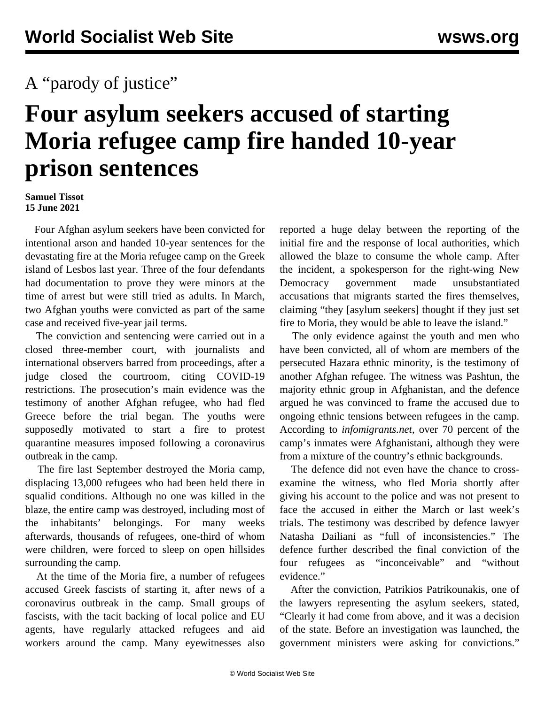## A "parody of justice"

## **Four asylum seekers accused of starting Moria refugee camp fire handed 10-year prison sentences**

## **Samuel Tissot 15 June 2021**

 Four Afghan asylum seekers have been convicted for intentional arson and handed 10-year sentences for the devastating fire at the Moria refugee camp on the Greek island of Lesbos last year. Three of the four defendants had documentation to prove they were minors at the time of arrest but were still tried as adults. In March, two Afghan youths were convicted as part of the same case and received five-year jail terms.

 The conviction and sentencing were carried out in a closed three-member court, with journalists and international observers barred from proceedings, after a judge closed the courtroom, citing COVID-19 restrictions. The prosecution's main evidence was the testimony of another Afghan refugee, who had fled Greece before the trial began. The youths were supposedly motivated to start a fire to protest quarantine measures imposed following a coronavirus outbreak in the camp.

 The fire last September destroyed the Moria camp, displacing 13,000 refugees who had been held there in squalid conditions. Although no one was killed in the blaze, the entire camp was destroyed, including most of the inhabitants' belongings. For many weeks afterwards, thousands of refugees, one-third of whom were children, were forced to sleep on open hillsides surrounding the camp.

 At the time of the Moria fire, a number of refugees accused Greek fascists of starting it, after news of a coronavirus outbreak in the camp. Small groups of fascists, with the tacit backing of local police and EU agents, have regularly attacked refugees and aid workers around the camp. Many eyewitnesses also

reported a huge delay between the reporting of the initial fire and the response of local authorities, which allowed the blaze to consume the whole camp. After the incident, a spokesperson for the right-wing New Democracy government made unsubstantiated accusations that migrants started the fires themselves, claiming "they [asylum seekers] thought if they just set fire to Moria, they would be able to leave the island."

 The only evidence against the youth and men who have been convicted, all of whom are members of the persecuted Hazara ethnic minority, is the testimony of another Afghan refugee. The witness was Pashtun, the majority ethnic group in Afghanistan, and the defence argued he was convinced to frame the accused due to ongoing ethnic tensions between refugees in the camp. According to *infomigrants.net*, over 70 percent of the camp's inmates were Afghanistani, although they were from a mixture of the country's ethnic backgrounds.

 The defence did not even have the chance to crossexamine the witness, who fled Moria shortly after giving his account to the police and was not present to face the accused in either the March or last week's trials. The testimony was described by defence lawyer Natasha Dailiani as "full of inconsistencies." The defence further described the final conviction of the four refugees as "inconceivable" and "without evidence."

 After the conviction, Patrikios Patrikounakis, one of the lawyers representing the asylum seekers, stated, "Clearly it had come from above, and it was a decision of the state. Before an investigation was launched, the government ministers were asking for convictions."